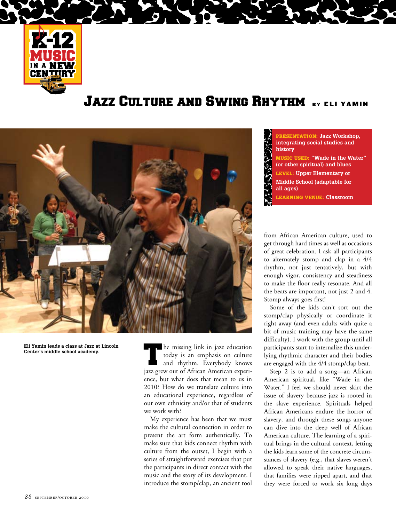

## **JAZZ CULTURE AND SWING RHYTHM BY ELI YAMIN**



**Eli Yamin leads a class at Jazz at Lincoln Center's middle school academy.**

The missing link in jazz education today is an emphasis on culture and rhythm. Everybody knows jazz grew out of African American experience, but what does that mean to us in 2010? How do we translate culture into an educational experience, regardless of our own ethnicity and/or that of students we work with?

My experience has been that we must make the cultural connection in order to present the art form authentically. To make sure that kids connect rhythm with culture from the outset, I begin with a series of straightforward exercises that put the participants in direct contact with the music and the story of its development. I introduce the stomp/clap, an ancient tool

Presentation: **Jazz Workshop, integrating social studies and history** MUSIC USED: **"Wade in the Water" (or other spiritual) and blues** LEVEL: **Upper Elementary or Middle School (adaptable for all ages)** LEARNING VENUE: **Classroom**

from African American culture, used to get through hard times as well as occasions of great celebration. I ask all participants to alternately stomp and clap in a 4/4 rhythm, not just tentatively, but with enough vigor, consistency and steadiness to make the floor really resonate. And all the beats are important, not just 2 and 4. Stomp always goes first!

Some of the kids can't sort out the stomp/clap physically or coordinate it right away (and even adults with quite a bit of music training may have the same difficulty). I work with the group until all participants start to internalize this underlying rhythmic character and their bodies are engaged with the 4/4 stomp/clap beat.

Step 2 is to add a song—an African American spiritual, like "Wade in the Water." I feel we should never skirt the issue of slavery because jazz is rooted in the slave experience. Spirituals helped African Americans endure the horror of slavery, and through these songs anyone can dive into the deep well of African American culture. The learning of a spiritual brings in the cultural context, letting the kids learn some of the concrete circumstances of slavery (e.g., that slaves weren't allowed to speak their native languages, that families were ripped apart, and that they were forced to work six long days